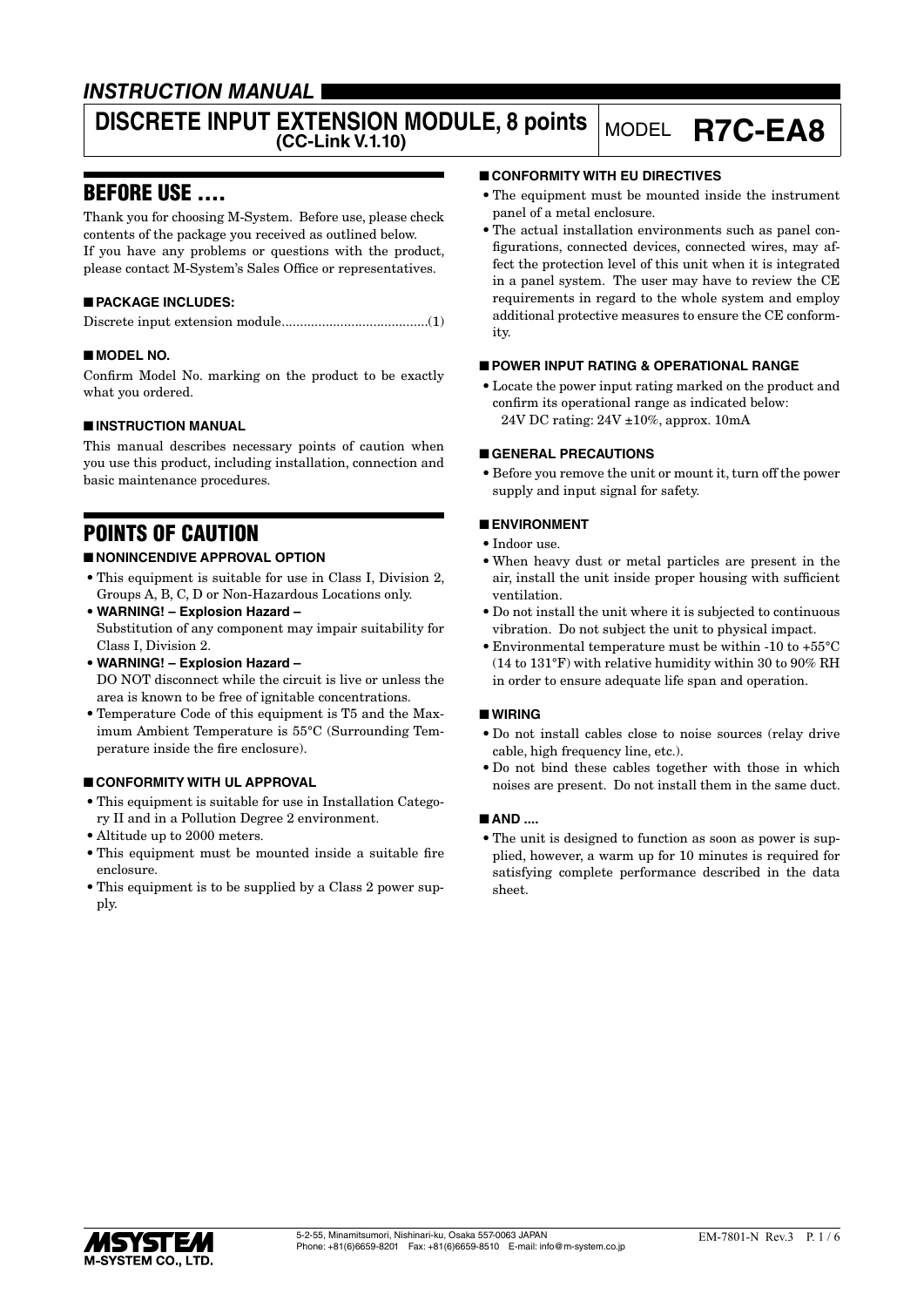# *INSTRUCTION MANUAL*

# **DISCRETE INPUT EXTENSION MODULE, 8 points MODEL R7C-EA8**

# BEFORE USE ....

Thank you for choosing M-System. Before use, please check contents of the package you received as outlined below. If you have any problems or questions with the product, please contact M-System's Sales Office or representatives.

# ■ **PACKAGE INCLUDES:**

Discrete input extension module........................................(1)

# ■ **MODEL NO.**

Confirm Model No. marking on the product to be exactly what you ordered.

# ■ **INSTRUCTION MANUAL**

This manual describes necessary points of caution when you use this product, including installation, connection and basic maintenance procedures.

# POINTS OF CAUTION

# ■ **NONINCENDIVE APPROVAL OPTION**

- This equipment is suitable for use in Class I, Division 2, Groups A, B, C, D or Non-Hazardous Locations only.
- **WARNING! Explosion Hazard –** Substitution of any component may impair suitability for Class I, Division 2.
- **WARNING! Explosion Hazard –** DO NOT disconnect while the circuit is live or unless the area is known to be free of ignitable concentrations.
- Temperature Code of this equipment is T5 and the Maximum Ambient Temperature is 55°C (Surrounding Temperature inside the fire enclosure).

# ■ **CONFORMITY WITH UL APPROVAL**

- This equipment is suitable for use in Installation Category II and in a Pollution Degree 2 environment.
- Altitude up to 2000 meters.
- This equipment must be mounted inside a suitable fire enclosure.
- This equipment is to be supplied by a Class 2 power supply.

### ■ **CONFORMITY WITH EU DIRECTIVES**

- The equipment must be mounted inside the instrument panel of a metal enclosure.
- The actual installation environments such as panel configurations, connected devices, connected wires, may affect the protection level of this unit when it is integrated in a panel system. The user may have to review the CE requirements in regard to the whole system and employ additional protective measures to ensure the CE conformity.

### ■ **POWER INPUT RATING & OPERATIONAL RANGE**

• Locate the power input rating marked on the product and confirm its operational range as indicated below: 24V DC rating: 24V ±10%, approx. 10mA

### ■ **GENERAL PRECAUTIONS**

• Before you remove the unit or mount it, turn off the power supply and input signal for safety.

# ■ **ENVIRONMENT**

- Indoor use.
- When heavy dust or metal particles are present in the air, install the unit inside proper housing with sufficient ventilation.
- Do not install the unit where it is subjected to continuous vibration. Do not subject the unit to physical impact.
- Environmental temperature must be within -10 to +55°C (14 to 131°F) with relative humidity within 30 to 90% RH in order to ensure adequate life span and operation.

### ■ **WIRING**

- Do not install cables close to noise sources (relay drive cable, high frequency line, etc.).
- Do not bind these cables together with those in which noises are present. Do not install them in the same duct.

### ■ **AND ....**

• The unit is designed to function as soon as power is supplied, however, a warm up for 10 minutes is required for satisfying complete performance described in the data sheet.

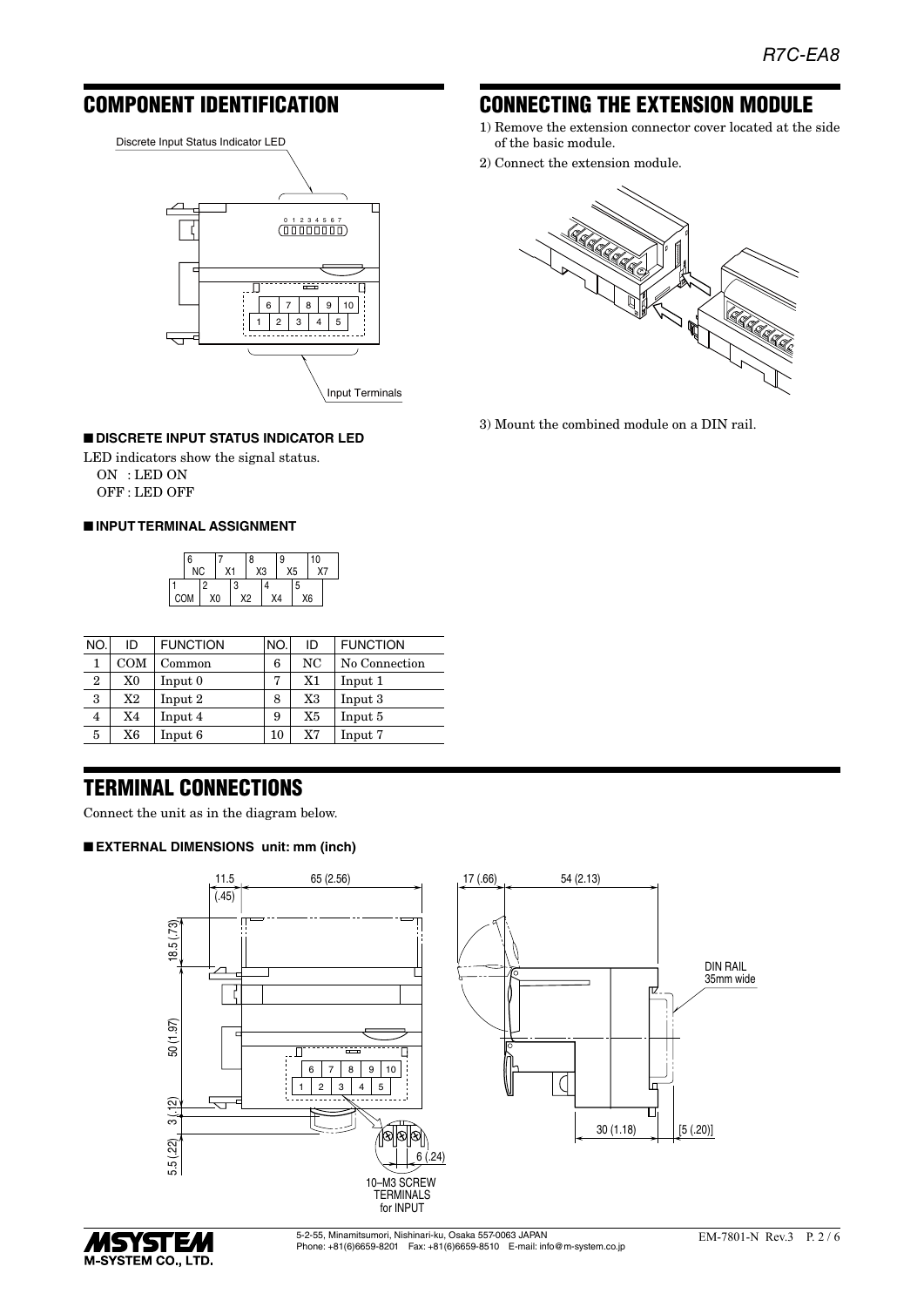# COMPONENT IDENTIFICATION

Discrete Input Status Indicator LED



#### ■ **DISCRETE INPUT STATUS INDICATOR LED**

LED indicators show the signal status. ON : LED ON OFF : LED OFF

#### ■ **INPUT TERMINAL ASSIGNMENT**



| NO.          | ID           | <b>FUNCTION</b> | NO. | ID | <b>FUNCTION</b> |
|--------------|--------------|-----------------|-----|----|-----------------|
| 1            | $_{\rm COM}$ | Common          | 6   | NC | No Connection   |
| $\mathbf{2}$ | X0           | Input 0         | 7   | X1 | Input 1         |
| 3            | X2           | Input 2         | 8   | X3 | Input 3         |
| 4            | X4           | Input 4         | 9   | X5 | Input 5         |
| 5            | X6           | Input 6         | 10  | X7 | Input 7         |

# TERMINAL CONNECTIONS

Connect the unit as in the diagram below.

#### ■ **EXTERNAL DIMENSIONS unit: mm (inch)**





5-2-55, Minamitsumori, Nishinari-ku, Osaka 557-0063 JAPAN Phone: +81(6)6659-8201 Fax: +81(6)6659-8510 E-mail: info@m-system.co.jp

# CONNECTING THE EXTENSION MODULE

- 1) Remove the extension connector cover located at the side of the basic module.
- 2) Connect the extension module.



3) Mount the combined module on a DIN rail.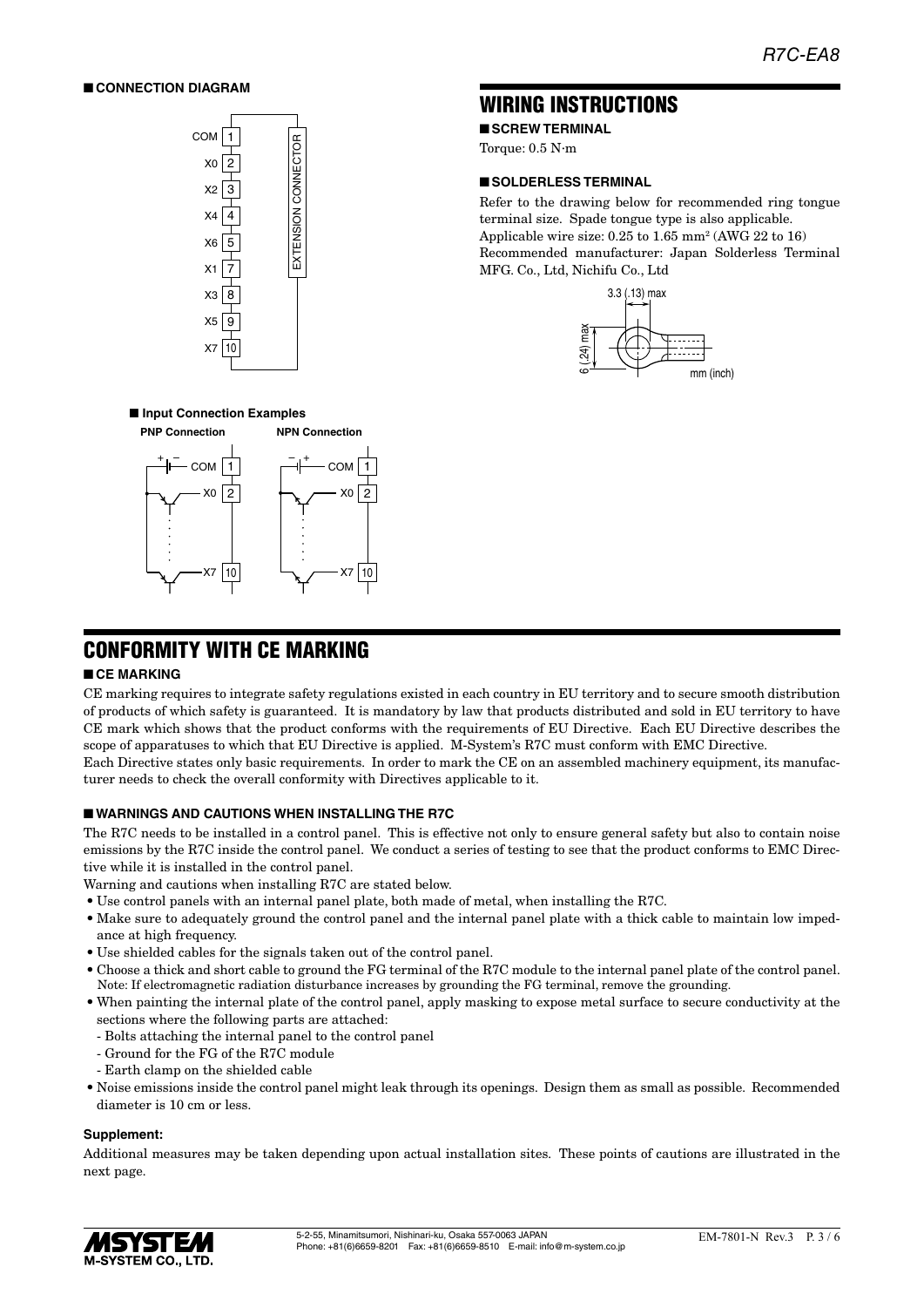#### ■ **CONNECTION DIAGRAM**



# WIRING INSTRUCTIONS

■ **SCREW TERMINAL** 

Torque: 0.5 N·m

#### ■ **SOLDERLESS TERMINAL**

Refer to the drawing below for recommended ring tongue terminal size. Spade tongue type is also applicable. Applicable wire size:  $0.25$  to  $1.65$  mm<sup>2</sup> (AWG 22 to 16) Recommended manufacturer: Japan Solderless Terminal MFG. Co., Ltd, Nichifu Co., Ltd



### ■ **Input Connection Examples**



# CONFORMITY WITH CE MARKING

#### ■ **CE MARKING**

CE marking requires to integrate safety regulations existed in each country in EU territory and to secure smooth distribution of products of which safety is guaranteed. It is mandatory by law that products distributed and sold in EU territory to have CE mark which shows that the product conforms with the requirements of EU Directive. Each EU Directive describes the scope of apparatuses to which that EU Directive is applied. M-System's R7C must conform with EMC Directive. Each Directive states only basic requirements. In order to mark the CE on an assembled machinery equipment, its manufacturer needs to check the overall conformity with Directives applicable to it.

#### ■ **WARNINGS AND CAUTIONS WHEN INSTALLING THE R7C**

The R7C needs to be installed in a control panel. This is effective not only to ensure general safety but also to contain noise emissions by the R7C inside the control panel. We conduct a series of testing to see that the product conforms to EMC Directive while it is installed in the control panel.

Warning and cautions when installing R7C are stated below.

- Use control panels with an internal panel plate, both made of metal, when installing the R7C.
- Make sure to adequately ground the control panel and the internal panel plate with a thick cable to maintain low impedance at high frequency.
- Use shielded cables for the signals taken out of the control panel.
- Choose a thick and short cable to ground the FG terminal of the R7C module to the internal panel plate of the control panel. Note: If electromagnetic radiation disturbance increases by grounding the FG terminal, remove the grounding.
- When painting the internal plate of the control panel, apply masking to expose metal surface to secure conductivity at the sections where the following parts are attached:
	- Bolts attaching the internal panel to the control panel
	- Ground for the FG of the R7C module
	- Earth clamp on the shielded cable
- Noise emissions inside the control panel might leak through its openings. Design them as small as possible. Recommended diameter is 10 cm or less.

#### **Supplement:**

Additional measures may be taken depending upon actual installation sites. These points of cautions are illustrated in the next page.

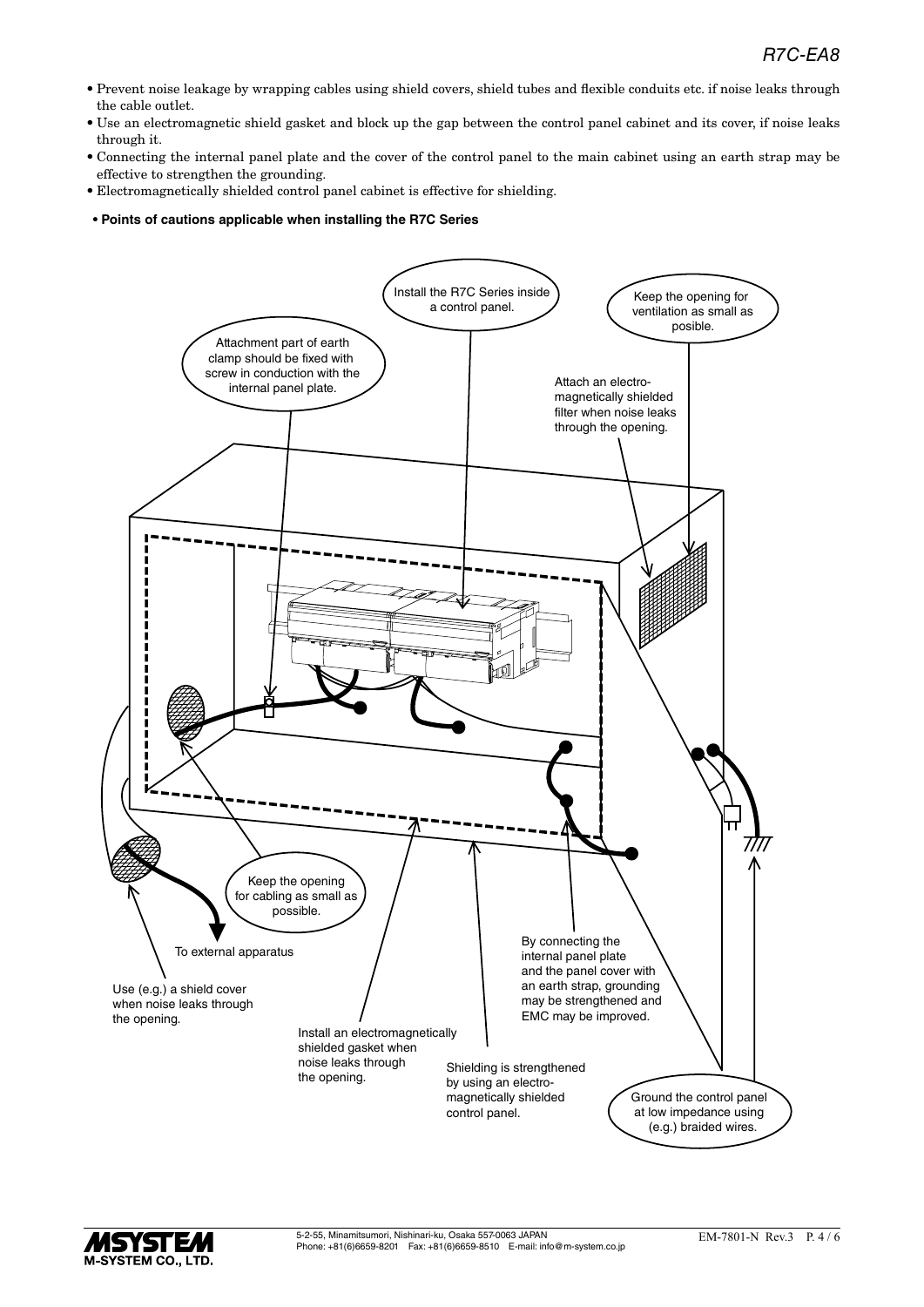- Prevent noise leakage by wrapping cables using shield covers, shield tubes and flexible conduits etc. if noise leaks through the cable outlet.
- Use an electromagnetic shield gasket and block up the gap between the control panel cabinet and its cover, if noise leaks through it.
- Connecting the internal panel plate and the cover of the control panel to the main cabinet using an earth strap may be effective to strengthen the grounding.
- Electromagnetically shielded control panel cabinet is effective for shielding.
- **Points of cautions applicable when installing the R7C Series**

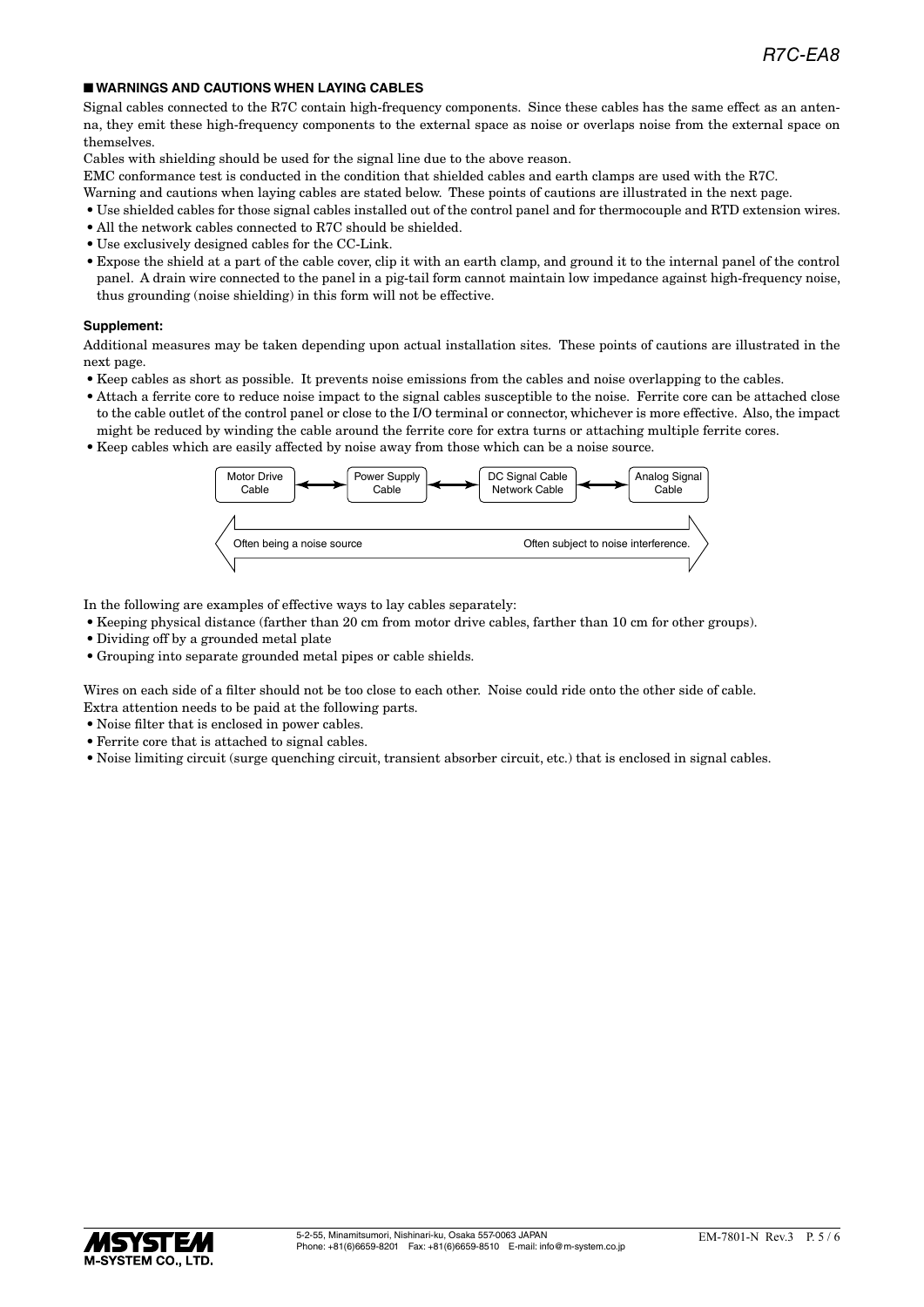#### ■ **WARNINGS AND CAUTIONS WHEN LAYING CABLES**

Signal cables connected to the R7C contain high-frequency components. Since these cables has the same effect as an antenna, they emit these high-frequency components to the external space as noise or overlaps noise from the external space on themselves.

Cables with shielding should be used for the signal line due to the above reason.

EMC conformance test is conducted in the condition that shielded cables and earth clamps are used with the R7C.

- Warning and cautions when laying cables are stated below. These points of cautions are illustrated in the next page.
- Use shielded cables for those signal cables installed out of the control panel and for thermocouple and RTD extension wires.
- All the network cables connected to R7C should be shielded.
- Use exclusively designed cables for the CC-Link.
- Expose the shield at a part of the cable cover, clip it with an earth clamp, and ground it to the internal panel of the control panel. A drain wire connected to the panel in a pig-tail form cannot maintain low impedance against high-frequency noise, thus grounding (noise shielding) in this form will not be effective.

#### **Supplement:**

Additional measures may be taken depending upon actual installation sites. These points of cautions are illustrated in the next page.

- Keep cables as short as possible. It prevents noise emissions from the cables and noise overlapping to the cables.
- Attach a ferrite core to reduce noise impact to the signal cables susceptible to the noise. Ferrite core can be attached close to the cable outlet of the control panel or close to the I/O terminal or connector, whichever is more effective. Also, the impact might be reduced by winding the cable around the ferrite core for extra turns or attaching multiple ferrite cores.
- Keep cables which are easily affected by noise away from those which can be a noise source.



In the following are examples of effective ways to lay cables separately:

- Keeping physical distance (farther than 20 cm from motor drive cables, farther than 10 cm for other groups).
- Dividing off by a grounded metal plate
- Grouping into separate grounded metal pipes or cable shields.

Wires on each side of a filter should not be too close to each other. Noise could ride onto the other side of cable. Extra attention needs to be paid at the following parts.

- Noise filter that is enclosed in power cables.
- Ferrite core that is attached to signal cables.
- Noise limiting circuit (surge quenching circuit, transient absorber circuit, etc.) that is enclosed in signal cables.